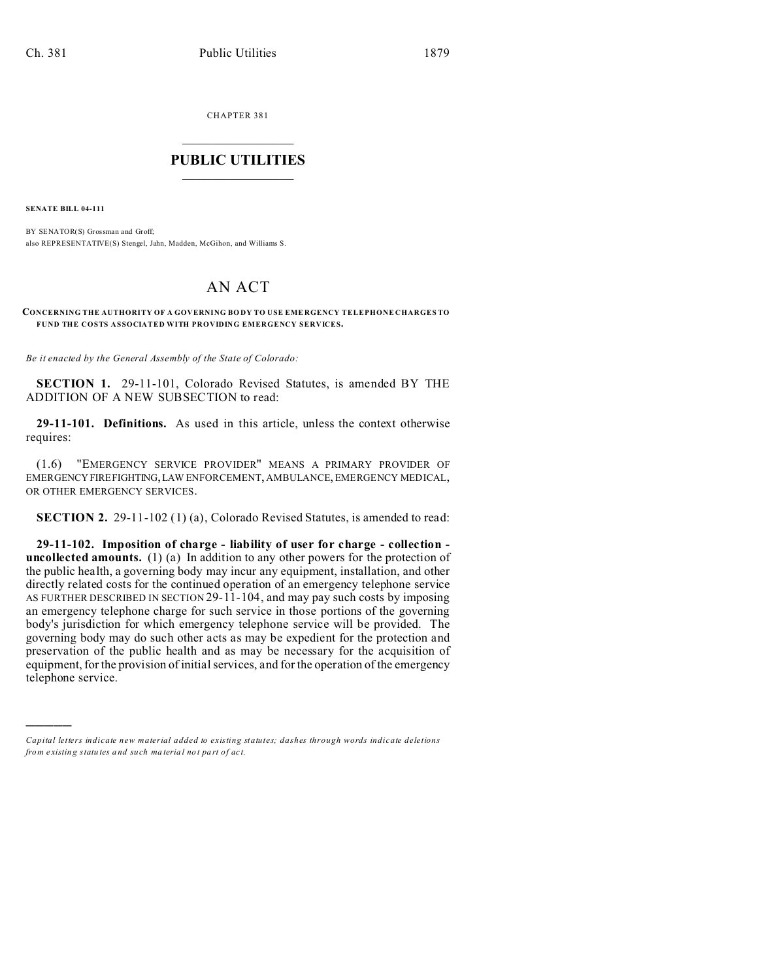CHAPTER 381  $\overline{\phantom{a}}$  , where  $\overline{\phantom{a}}$ 

## **PUBLIC UTILITIES**  $\frac{1}{\sqrt{2}}$  ,  $\frac{1}{\sqrt{2}}$  ,  $\frac{1}{\sqrt{2}}$  ,  $\frac{1}{\sqrt{2}}$  ,  $\frac{1}{\sqrt{2}}$  ,  $\frac{1}{\sqrt{2}}$

**SENATE BILL 04-111**

)))))

BY SENATOR(S) Grossman and Groff; also REPRESENTATIVE(S) Stengel, Jahn, Madden, McGihon, and Williams S.

## AN ACT

## **CONCERNING THE AUTHORITY OF A GOVERNING BO DY TO USE EME RGENCY TELEPHONE CHARGES TO FUND THE COSTS ASSOCIATED WITH PROVIDING EMERGENCY SERVICES.**

*Be it enacted by the General Assembly of the State of Colorado:*

**SECTION 1.** 29-11-101, Colorado Revised Statutes, is amended BY THE ADDITION OF A NEW SUBSECTION to read:

**29-11-101. Definitions.** As used in this article, unless the context otherwise requires:

(1.6) "EMERGENCY SERVICE PROVIDER" MEANS A PRIMARY PROVIDER OF EMERGENCYFIREFIGHTING,LAW ENFORCEMENT, AMBULANCE, EMERGENCY MEDICAL, OR OTHER EMERGENCY SERVICES.

**SECTION 2.** 29-11-102 (1) (a), Colorado Revised Statutes, is amended to read:

**29-11-102. Imposition of charge - liability of user for charge - collection uncollected amounts.** (1) (a) In addition to any other powers for the protection of the public health, a governing body may incur any equipment, installation, and other directly related costs for the continued operation of an emergency telephone service AS FURTHER DESCRIBED IN SECTION 29-11-104, and may pay such costs by imposing an emergency telephone charge for such service in those portions of the governing body's jurisdiction for which emergency telephone service will be provided. The governing body may do such other acts as may be expedient for the protection and preservation of the public health and as may be necessary for the acquisition of equipment, for the provision of initial services, and for the operation of the emergency telephone service.

*Capital letters indicate new material added to existing statutes; dashes through words indicate deletions from e xistin g statu tes a nd such ma teria l no t pa rt of ac t.*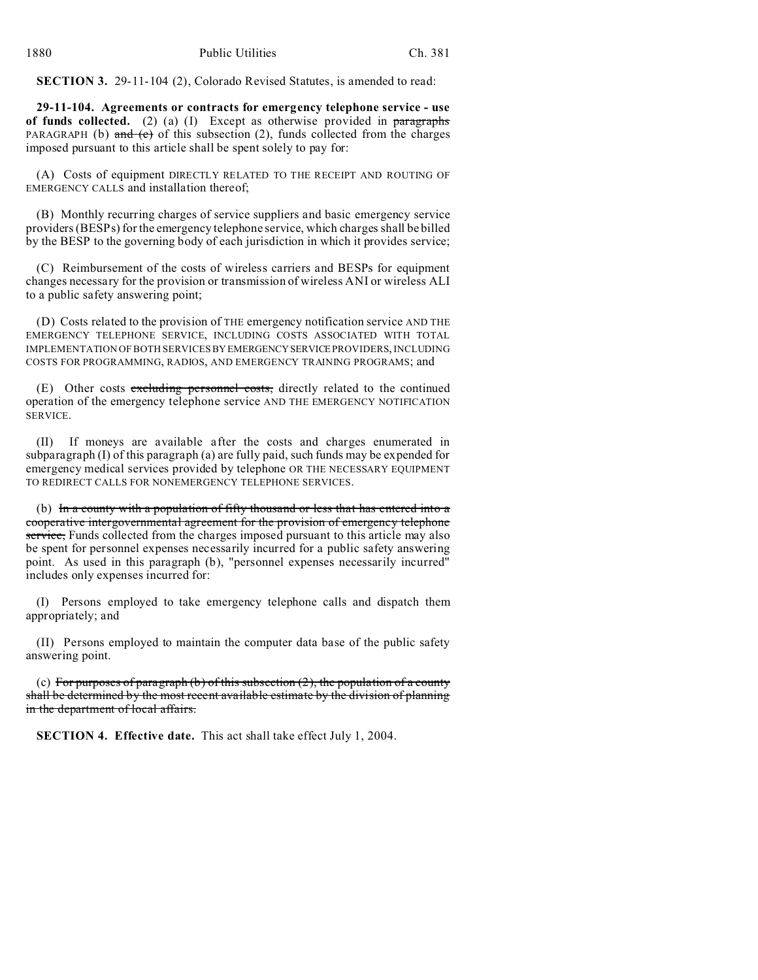**SECTION 3.** 29-11-104 (2), Colorado Revised Statutes, is amended to read:

**29-11-104. Agreements or contracts for emergency telephone service - use of funds collected.** (2) (a) (I) Except as otherwise provided in paragraphs PARAGRAPH (b) and  $(e)$  of this subsection (2), funds collected from the charges imposed pursuant to this article shall be spent solely to pay for:

(A) Costs of equipment DIRECTLY RELATED TO THE RECEIPT AND ROUTING OF EMERGENCY CALLS and installation thereof;

(B) Monthly recurring charges of service suppliers and basic emergency service providers (BESPs) for the emergency telephone service, which charges shall be billed by the BESP to the governing body of each jurisdiction in which it provides service;

(C) Reimbursement of the costs of wireless carriers and BESPs for equipment changes necessary for the provision or transmission of wireless ANI or wireless ALI to a public safety answering point;

(D) Costs related to the provision of THE emergency notification service AND THE EMERGENCY TELEPHONE SERVICE, INCLUDING COSTS ASSOCIATED WITH TOTAL IMPLEMENTATION OF BOTH SERVICES BY EMERGENCYSERVICEPROVIDERS, INCLUDING COSTS FOR PROGRAMMING, RADIOS, AND EMERGENCY TRAINING PROGRAMS; and

(E) Other costs excluding personnel costs, directly related to the continued operation of the emergency telephone service AND THE EMERGENCY NOTIFICATION SERVICE.

(II) If moneys are available after the costs and charges enumerated in subparagraph (I) of this paragraph (a) are fully paid, such funds may be expended for emergency medical services provided by telephone OR THE NECESSARY EQUIPMENT TO REDIRECT CALLS FOR NONEMERGENCY TELEPHONE SERVICES.

(b) In a county with a population of fifty thousand or less that has entered into a cooperative intergovernmental agreement for the provision of emergency telephone service, Funds collected from the charges imposed pursuant to this article may also be spent for personnel expenses necessarily incurred for a public safety answering point. As used in this paragraph (b), "personnel expenses necessarily incurred" includes only expenses incurred for:

(I) Persons employed to take emergency telephone calls and dispatch them appropriately; and

(II) Persons employed to maintain the computer data base of the public safety answering point.

(c) For purposes of paragraph (b) of this subsection  $(2)$ , the population of a county shall be determined by the most recent available estimate by the division of planning in the department of local affairs.

**SECTION 4. Effective date.** This act shall take effect July 1, 2004.